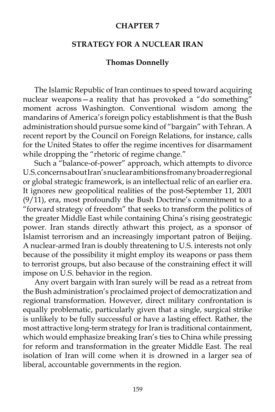#### **CHAPTER 7**

# **STRATEGY FOR A NUCLEAR IRAN**

# **Thomas Donnelly**

 The Islamic Republic of Iran continues to speed toward acquiring nuclear weapons—a reality that has provoked a "do something" moment across Washington. Conventional wisdom among the mandarins of America's foreign policy establishment is that the Bush administration should pursue some kind of "bargain" with Tehran. A recent report by the Council on Foreign Relations, for instance, calls for the United States to offer the regime incentives for disarmament while dropping the "rhetoric of regime change."

 Such a "balance-of-power" approach, which attempts to divorce U.S. concerns about Iran's nuclear ambitions from any broader regional or global strategic framework, is an intellectual relic of an earlier era. It ignores new geopolitical realities of the post-September 11, 2001 (9/11), era, most profoundly the Bush Doctrine's commitment to a "forward strategy of freedom" that seeks to transform the politics of the greater Middle East while containing China's rising geostrategic power. Iran stands directly athwart this project, as a sponsor of Islamist terrorism and an increasingly important patron of Beijing. A nuclear-armed Iran is doubly threatening to U.S. interests not only because of the possibility it might employ its weapons or pass them to terrorist groups, but also because of the constraining effect it will impose on U.S. behavior in the region.

 Any overt bargain with Iran surely will be read as a retreat from the Bush administration's proclaimed project of democratization and regional transformation. However, direct military confrontation is equally problematic, particularly given that a single, surgical strike is unlikely to be fully successful or have a lasting effect. Rather, the most attractive long-term strategy for Iran is traditional containment, which would emphasize breaking Iran's ties to China while pressing for reform and transformation in the greater Middle East. The real isolation of Iran will come when it is drowned in a larger sea of liberal, accountable governments in the region.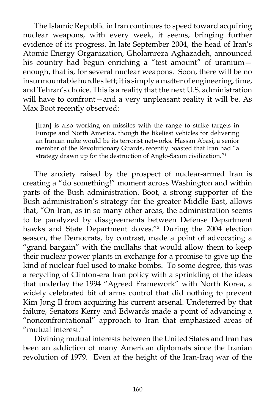The Islamic Republic in Iran continues to speed toward acquiring nuclear weapons, with every week, it seems, bringing further evidence of its progress. In late September 2004, the head of Iran's Atomic Energy Organization, Gholamreza Aghazadeh, announced his country had begun enriching a "test amount" of uraniumenough, that is, for several nuclear weapons. Soon, there will be no insurmountable hurdles left; it is simply a matter of engineering, time, and Tehran's choice. This is a reality that the next U.S. administration will have to confront—and a very unpleasant reality it will be. As Max Boot recently observed:

[Iran] is also working on missiles with the range to strike targets in Europe and North America, though the likeliest vehicles for delivering an Iranian nuke would be its terrorist networks. Hassan Abasi, a senior member of the Revolutionary Guards, recently boasted that Iran had "a strategy drawn up for the destruction of Anglo-Saxon civilization."1

 The anxiety raised by the prospect of nuclear-armed Iran is creating a "do something!" moment across Washington and within parts of the Bush administration. Boot, a strong supporter of the Bush administration's strategy for the greater Middle East, allows that, "On Iran, as in so many other areas, the administration seems to be paralyzed by disagreements between Defense Department hawks and State Department doves."2 During the 2004 election season, the Democrats, by contrast, made a point of advocating a "grand bargain" with the mullahs that would allow them to keep their nuclear power plants in exchange for a promise to give up the kind of nuclear fuel used to make bombs. To some degree, this was a recycling of Clinton-era Iran policy with a sprinkling of the ideas that underlay the 1994 "Agreed Framework" with North Korea, a widely celebrated bit of arms control that did nothing to prevent Kim Jong Il from acquiring his current arsenal. Undeterred by that failure, Senators Kerry and Edwards made a point of advancing a "nonconfrontational" approach to Iran that emphasized areas of "mutual interest."

 Divining mutual interests between the United States and Iran has been an addiction of many American diplomats since the Iranian revolution of 1979. Even at the height of the Iran-Iraq war of the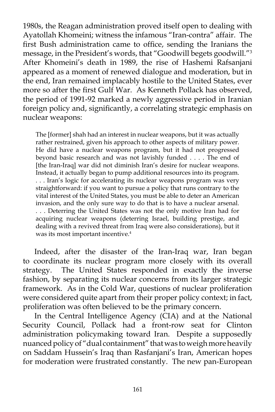1980s, the Reagan administration proved itself open to dealing with Ayatollah Khomeini; witness the infamous "Iran-contra" affair. The first Bush administration came to office, sending the Iranians the message, in the President's words, that "Goodwill begets goodwill."3 After Khomeini's death in 1989, the rise of Hashemi Rafsanjani appeared as a moment of renewed dialogue and moderation, but in the end, Iran remained implacably hostile to the United States, ever more so after the first Gulf War. As Kenneth Pollack has observed, the period of 1991-92 marked a newly aggressive period in Iranian foreign policy and, significantly, a correlating strategic emphasis on nuclear weapons:

The [former] shah had an interest in nuclear weapons, but it was actually rather restrained, given his approach to other aspects of military power. He did have a nuclear weapons program, but it had not progressed beyond basic research and was not lavishly funded . . . . The end of [the Iran-Iraq] war did not diminish Iran's desire for nuclear weapons. Instead, it actually began to pump additional resources into its program. . . . Iran's logic for accelerating its nuclear weapons program was very straightforward: if you want to pursue a policy that runs contrary to the vital interest of the United States, you must be able to deter an American invasion, and the only sure way to do that is to have a nuclear arsenal. . . . Deterring the United States was not the only motive Iran had for acquiring nuclear weapons (deterring Israel, building prestige, and dealing with a revived threat from Iraq were also considerations), but it was its most important incentive.<sup>4</sup>

 Indeed, after the disaster of the Iran-Iraq war, Iran began to coordinate its nuclear program more closely with its overall strategy. The United States responded in exactly the inverse fashion, by separating its nuclear concerns from its larger strategic framework. As in the Cold War, questions of nuclear proliferation were considered quite apart from their proper policy context; in fact, proliferation was often believed to be the primary concern.

 In the Central Intelligence Agency (CIA) and at the National Security Council, Pollack had a front-row seat for Clinton administration policymaking toward Iran. Despite a supposedly nuanced policy of "dual containment" that was to weigh more heavily on Saddam Hussein's Iraq than Rasfanjani's Iran, American hopes for moderation were frustrated constantly. The new pan-European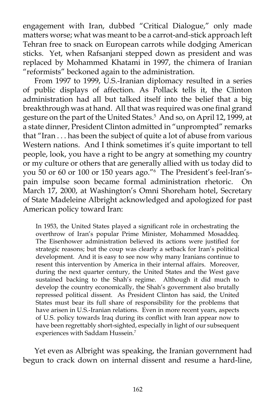engagement with Iran, dubbed "Critical Dialogue," only made matters worse; what was meant to be a carrot-and-stick approach left Tehran free to snack on European carrots while dodging American sticks. Yet, when Rafsanjani stepped down as president and was replaced by Mohammed Khatami in 1997, the chimera of Iranian "reformists" beckoned again to the administration.

 From 1997 to 1999, U.S.-Iranian diplomacy resulted in a series of public displays of affection. As Pollack tells it, the Clinton administration had all but talked itself into the belief that a big breakthrough was at hand. All that was required was one final grand gesture on the part of the United States.5 And so, on April 12, 1999, at a state dinner, President Clinton admitted in "unprompted" remarks that "Iran . . . has been the subject of quite a lot of abuse from various Western nations. And I think sometimes it's quite important to tell people, look, you have a right to be angry at something my country or my culture or others that are generally allied with us today did to you 50 or 60 or 100 or 150 years ago."6 The President's feel-Iran'spain impulse soon became formal administration rhetoric. On March 17, 2000, at Washington's Omni Shoreham hotel, Secretary of State Madeleine Albright acknowledged and apologized for past American policy toward Iran:

In 1953, the United States played a significant role in orchestrating the overthrow of Iran's popular Prime Minister, Mohammed Mosaddeq. The Eisenhower administration believed its actions were justified for strategic reasons; but the coup was clearly a setback for Iran's political development. And it is easy to see now why many Iranians continue to resent this intervention by America in their internal affairs. Moreover, during the next quarter century, the United States and the West gave sustained backing to the Shah's regime. Although it did much to develop the country economically, the Shah's government also brutally repressed political dissent. As President Clinton has said, the United States must bear its full share of responsibility for the problems that have arisen in U.S.-Iranian relations. Even in more recent years, aspects of U.S. policy towards Iraq during its conflict with Iran appear now to have been regrettably short-sighted, especially in light of our subsequent experiences with Saddam Hussein.7

 Yet even as Albright was speaking, the Iranian government had begun to crack down on internal dissent and resume a hard-line,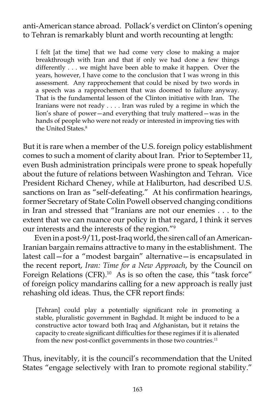anti-American stance abroad. Pollack's verdict on Clinton's opening to Tehran is remarkably blunt and worth recounting at length:

I felt [at the time] that we had come very close to making a major breakthrough with Iran and that if only we had done a few things differently . . . we might have been able to make it happen. Over the years, however, I have come to the conclusion that I was wrong in this assessment. Any rapprochement that could be nixed by two words in a speech was a rapprochement that was doomed to failure anyway. That is the fundamental lesson of the Clinton initiative with Iran. The Iranians were not ready . . . . Iran was ruled by a regime in which the lion's share of power—and everything that truly mattered—was in the hands of people who were not ready or interested in improving ties with the United States.<sup>8</sup>

But it is rare when a member of the U.S. foreign policy establishment comes to such a moment of clarity about Iran. Prior to September 11, even Bush administration principals were prone to speak hopefully about the future of relations between Washington and Tehran. Vice President Richard Cheney, while at Haliburton, had described U.S. sanctions on Iran as "self-defeating." At his confirmation hearings, former Secretary of State Colin Powell observed changing conditions in Iran and stressed that "Iranians are not our enemies . . . to the extent that we can nuance our policy in that regard, I think it serves our interests and the interests of the region."9

 Even in a post-9/11, post-Iraq world, the siren call of an American-Iranian bargain remains attractive to many in the establishment. The latest call—for a "modest bargain" alternative—is encapsulated in the recent report, *Iran: Time for a New Approach*, by the Council on Foreign Relations (CFR).<sup>10</sup> As is so often the case, this "task force" of foreign policy mandarins calling for a new approach is really just rehashing old ideas. Thus, the CFR report finds:

[Tehran] could play a potentially significant role in promoting a stable, pluralistic government in Baghdad. It might be induced to be a constructive actor toward both Iraq and Afghanistan, but it retains the capacity to create significant difficulties for these regimes if it is alienated from the new post-conflict governments in those two countries.<sup>11</sup>

Thus, inevitably, it is the council's recommendation that the United States "engage selectively with Iran to promote regional stability."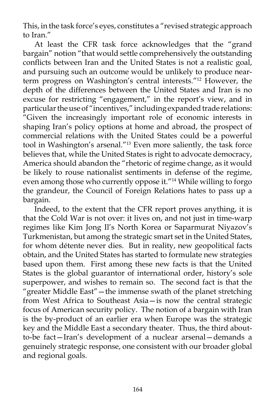This, in the task force's eyes, constitutes a "revised strategic approach to Iran."

 At least the CFR task force acknowledges that the "grand bargain" notion "that would settle comprehensively the outstanding conflicts between Iran and the United States is not a realistic goal, and pursuing such an outcome would be unlikely to produce nearterm progress on Washington's central interests."12 However, the depth of the differences between the United States and Iran is no excuse for restricting "engagement," in the report's view, and in particular the use of "incentives," including expanded trade relations: "Given the increasingly important role of economic interests in shaping Iran's policy options at home and abroad, the prospect of commercial relations with the United States could be a powerful tool in Washington's arsenal."13 Even more saliently, the task force believes that, while the United States is right to advocate democracy, America should abandon the "rhetoric of regime change, as it would be likely to rouse nationalist sentiments in defense of the regime, even among those who currently oppose it."<sup>14</sup> While willing to forgo the grandeur, the Council of Foreign Relations hates to pass up a bargain.

 Indeed, to the extent that the CFR report proves anything, it is that the Cold War is not over: it lives on, and not just in time-warp regimes like Kim Jong Il's North Korea or Saparmurat Niyazov's Turkmenistan, but among the strategic smart set in the United States, for whom détente never dies. But in reality, new geopolitical facts obtain, and the United States has started to formulate new strategies based upon them. First among these new facts is that the United States is the global guarantor of international order, history's sole superpower, and wishes to remain so. The second fact is that the "greater Middle East"—the immense swath of the planet stretching from West Africa to Southeast Asia—is now the central strategic focus of American security policy. The notion of a bargain with Iran is the by-product of an earlier era when Europe was the strategic key and the Middle East a secondary theater. Thus, the third aboutto-be fact—Iran's development of a nuclear arsenal—demands a genuinely strategic response, one consistent with our broader global and regional goals.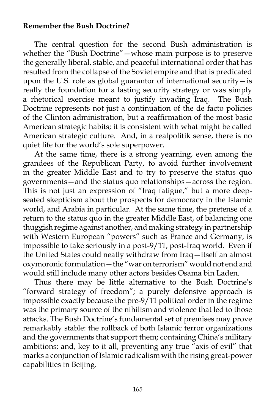# **Remember the Bush Doctrine?**

 The central question for the second Bush administration is whether the "Bush Doctrine"—whose main purpose is to preserve the generally liberal, stable, and peaceful international order that has resulted from the collapse of the Soviet empire and that is predicated upon the U.S. role as global guarantor of international security—is really the foundation for a lasting security strategy or was simply a rhetorical exercise meant to justify invading Iraq. The Bush Doctrine represents not just a continuation of the de facto policies of the Clinton administration, but a reaffirmation of the most basic American strategic habits; it is consistent with what might be called American strategic culture. And, in a realpolitik sense, there is no quiet life for the world's sole superpower.

 At the same time, there is a strong yearning, even among the grandees of the Republican Party, to avoid further involvement in the greater Middle East and to try to preserve the status quo governments—and the status quo relationships—across the region. This is not just an expression of "Iraq fatigue," but a more deepseated skepticism about the prospects for democracy in the Islamic world, and Arabia in particular. At the same time, the pretense of a return to the status quo in the greater Middle East, of balancing one thuggish regime against another, and making strategy in partnership with Western European "powers" such as France and Germany, is impossible to take seriously in a post-9/11, post-Iraq world. Even if the United States could neatly withdraw from Iraq—itself an almost oxymoronic formulation—the "war on terrorism" would not end and would still include many other actors besides Osama bin Laden.

 Thus there may be little alternative to the Bush Doctrine's "forward strategy of freedom"; a purely defensive approach is impossible exactly because the pre-9/11 political order in the regime was the primary source of the nihilism and violence that led to those attacks. The Bush Doctrine's fundamental set of premises may prove remarkably stable: the rollback of both Islamic terror organizations and the governments that support them; containing China's military ambitions; and, key to it all, preventing any true "axis of evil" that marks a conjunction of Islamic radicalism with the rising great-power capabilities in Beijing.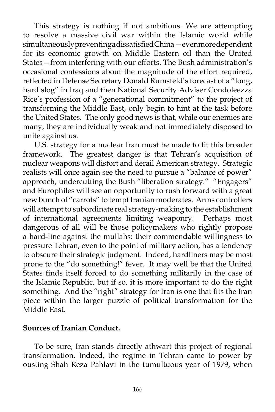This strategy is nothing if not ambitious. We are attempting to resolve a massive civil war within the Islamic world while simultaneously preventing a dissatisfied China - even more dependent for its economic growth on Middle Eastern oil than the United States—from interfering with our efforts. The Bush administration's occasional confessions about the magnitude of the effort required, reflected in Defense Secretary Donald Rumsfeld's forecast of a "long, hard slog" in Iraq and then National Security Adviser Condoleezza Rice's profession of a "generational commitment" to the project of transforming the Middle East, only begin to hint at the task before the United States. The only good news is that, while our enemies are many, they are individually weak and not immediately disposed to unite against us.

 U.S. strategy for a nuclear Iran must be made to fit this broader framework. The greatest danger is that Tehran's acquisition of nuclear weapons will distort and derail American strategy. Strategic realists will once again see the need to pursue a "balance of power" approach, undercutting the Bush "liberation strategy." "Engagers" and Europhiles will see an opportunity to rush forward with a great new bunch of "carrots" to tempt Iranian moderates. Arms controllers will attempt to subordinate real strategy-making to the establishment of international agreements limiting weaponry. Perhaps most dangerous of all will be those policymakers who rightly propose a hard-line against the mullahs: their commendable willingness to pressure Tehran, even to the point of military action, has a tendency to obscure their strategic judgment. Indeed, hardliners may be most prone to the "do something!" fever. It may well be that the United States finds itself forced to do something militarily in the case of the Islamic Republic, but if so, it is more important to do the right something. And the "right" strategy for Iran is one that fits the Iran piece within the larger puzzle of political transformation for the Middle East.

#### **Sources of Iranian Conduct.**

 To be sure, Iran stands directly athwart this project of regional transformation. Indeed, the regime in Tehran came to power by ousting Shah Reza Pahlavi in the tumultuous year of 1979, when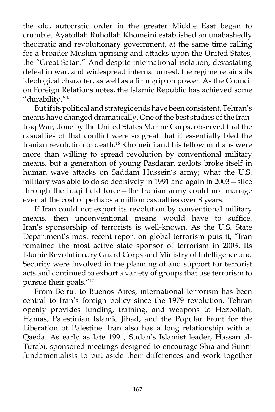the old, autocratic order in the greater Middle East began to crumble. Ayatollah Ruhollah Khomeini established an unabashedly theocratic and revolutionary government, at the same time calling for a broader Muslim uprising and attacks upon the United States, the "Great Satan." And despite international isolation, devastating defeat in war, and widespread internal unrest, the regime retains its ideological character, as well as a firm grip on power. As the Council on Foreign Relations notes, the Islamic Republic has achieved some "durability."15

 But if its political and strategic ends have been consistent, Tehran's means have changed dramatically. One of the best studies of the Iran-Iraq War, done by the United States Marine Corps, observed that the casualties of that conflict were so great that it essentially bled the Iranian revolution to death.16 Khomeini and his fellow mullahs were more than willing to spread revolution by conventional military means, but a generation of young Pasdaran zealots broke itself in human wave attacks on Saddam Hussein's army; what the U.S. military was able to do so decisively in 1991 and again in 2003—slice through the Iraqi field force—the Iranian army could not manage even at the cost of perhaps a million casualties over 8 years.

 If Iran could not export its revolution by conventional military means, then unconventional means would have to suffice. Iran's sponsorship of terrorists is well-known. As the U.S. State Department's most recent report on global terrorism puts it, "Iran remained the most active state sponsor of terrorism in 2003. Its Islamic Revolutionary Guard Corps and Ministry of Intelligence and Security were involved in the planning of and support for terrorist acts and continued to exhort a variety of groups that use terrorism to pursue their goals."17

 From Beirut to Buenos Aires, international terrorism has been central to Iran's foreign policy since the 1979 revolution. Tehran openly provides funding, training, and weapons to Hezbollah, Hamas, Palestinian Islamic Jihad, and the Popular Front for the Liberation of Palestine. Iran also has a long relationship with al Qaeda. As early as late 1991, Sudan's Islamist leader, Hassan al-Turabi, sponsored meetings designed to encourage Shia and Sunni fundamentalists to put aside their differences and work together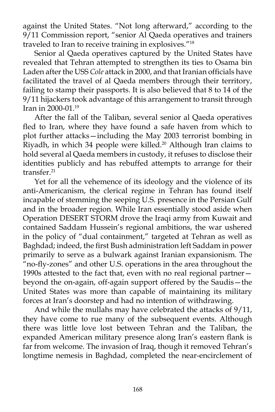against the United States. "Not long afterward," according to the 9/11 Commission report, "senior Al Qaeda operatives and trainers traveled to Iran to receive training in explosives."18

 Senior al Qaeda operatives captured by the United States have revealed that Tehran attempted to strengthen its ties to Osama bin Laden after the USS *Cole* attack in 2000, and that Iranian officials have facilitated the travel of al Qaeda members through their territory, failing to stamp their passports. It is also believed that 8 to 14 of the 9/11 hijackers took advantage of this arrangement to transit through Iran in  $2000 - 01$ <sup>19</sup>

 After the fall of the Taliban, several senior al Qaeda operatives fled to Iran, where they have found a safe haven from which to plot further attacks—including the May 2003 terrorist bombing in Riyadh, in which 34 people were killed.<sup>20</sup> Although Iran claims to hold several al Qaeda members in custody, it refuses to disclose their identities publicly and has rebuffed attempts to arrange for their transfer.<sup>21</sup>

 Yet for all the vehemence of its ideology and the violence of its anti-Americanism, the clerical regime in Tehran has found itself incapable of stemming the seeping U.S. presence in the Persian Gulf and in the broader region. While Iran essentially stood aside when Operation DESERT STORM drove the Iraqi army from Kuwait and contained Saddam Hussein's regional ambitions, the war ushered in the policy of "dual containment," targeted at Tehran as well as Baghdad; indeed, the first Bush administration left Saddam in power primarily to serve as a bulwark against Iranian expansionism. The "no-fly-zones" and other U.S. operations in the area throughout the 1990s attested to the fact that, even with no real regional partner beyond the on-again, off-again support offered by the Saudis—the United States was more than capable of maintaining its military forces at Iran's doorstep and had no intention of withdrawing.

 And while the mullahs may have celebrated the attacks of 9/11, they have come to rue many of the subsequent events. Although there was little love lost between Tehran and the Taliban, the expanded American military presence along Iran's eastern flank is far from welcome. The invasion of Iraq, though it removed Tehran's longtime nemesis in Baghdad, completed the near-encirclement of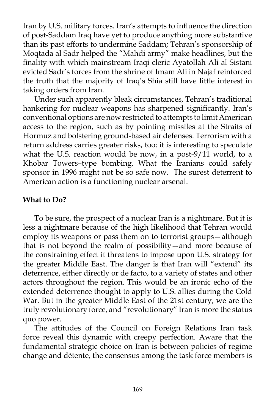Iran by U.S. military forces. Iran's attempts to influence the direction of post-Saddam Iraq have yet to produce anything more substantive than its past efforts to undermine Saddam; Tehran's sponsorship of Moqtada al Sadr helped the "Mahdi army" make headlines, but the finality with which mainstream Iraqi cleric Ayatollah Ali al Sistani evicted Sadr's forces from the shrine of Imam Ali in Najaf reinforced the truth that the majority of Iraq's Shia still have little interest in taking orders from Iran.

 Under such apparently bleak circumstances, Tehran's traditional hankering for nuclear weapons has sharpened significantly. Iran's conventional options are now restricted to attempts to limit American access to the region, such as by pointing missiles at the Straits of Hormuz and bolstering ground-based air defenses. Terrorism with a return address carries greater risks, too: it is interesting to speculate what the U.S. reaction would be now, in a post-9/11 world, to a Khobar Towers–type bombing. What the Iranians could safely sponsor in 1996 might not be so safe now. The surest deterrent to American action is a functioning nuclear arsenal.

# **What to Do?**

 To be sure, the prospect of a nuclear Iran is a nightmare. But it is less a nightmare because of the high likelihood that Tehran would employ its weapons or pass them on to terrorist groups—although that is not beyond the realm of possibility—and more because of the constraining effect it threatens to impose upon U.S. strategy for the greater Middle East. The danger is that Iran will "extend" its deterrence, either directly or de facto, to a variety of states and other actors throughout the region. This would be an ironic echo of the extended deterrence thought to apply to U.S. allies during the Cold War. But in the greater Middle East of the 21st century, we are the truly revolutionary force, and "revolutionary" Iran is more the status quo power.

 The attitudes of the Council on Foreign Relations Iran task force reveal this dynamic with creepy perfection. Aware that the fundamental strategic choice on Iran is between policies of regime change and détente, the consensus among the task force members is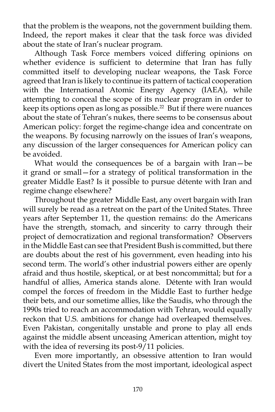that the problem is the weapons, not the government building them. Indeed, the report makes it clear that the task force was divided about the state of Iran's nuclear program.

 Although Task Force members voiced differing opinions on whether evidence is sufficient to determine that Iran has fully committed itself to developing nuclear weapons, the Task Force agreed that Iran is likely to continue its pattern of tactical cooperation with the International Atomic Energy Agency (IAEA), while attempting to conceal the scope of its nuclear program in order to keep its options open as long as possible.<sup>22</sup> But if there were nuances about the state of Tehran's nukes, there seems to be consensus about American policy: forget the regime-change idea and concentrate on the weapons. By focusing narrowly on the issues of Iran's weapons, any discussion of the larger consequences for American policy can be avoided.

 What would the consequences be of a bargain with Iran—be it grand or small—for a strategy of political transformation in the greater Middle East? Is it possible to pursue détente with Iran and regime change elsewhere?

 Throughout the greater Middle East, any overt bargain with Iran will surely be read as a retreat on the part of the United States. Three years after September 11, the question remains: do the Americans have the strength, stomach, and sincerity to carry through their project of democratization and regional transformation? Observers in the Middle East can see that President Bush is committed, but there are doubts about the rest of his government, even heading into his second term. The world's other industrial powers either are openly afraid and thus hostile, skeptical, or at best noncommittal; but for a handful of allies, America stands alone. Détente with Iran would compel the forces of freedom in the Middle East to further hedge their bets, and our sometime allies, like the Saudis, who through the 1990s tried to reach an accommodation with Tehran, would equally reckon that U.S. ambitions for change had overleaped themselves. Even Pakistan, congenitally unstable and prone to play all ends against the middle absent unceasing American attention, might toy with the idea of reversing its post-9/11 policies.

 Even more importantly, an obsessive attention to Iran would divert the United States from the most important, ideological aspect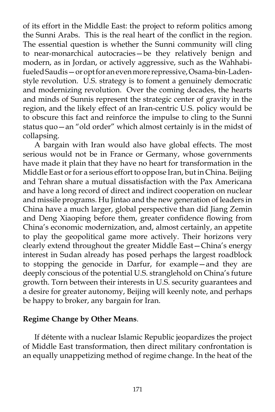of its effort in the Middle East: the project to reform politics among the Sunni Arabs. This is the real heart of the conflict in the region. The essential question is whether the Sunni community will cling to near-monarchical autocracies—be they relatively benign and modern, as in Jordan, or actively aggressive, such as the Wahhabifueled Saudis—or opt for an even more repressive, Osama-bin-Ladenstyle revolution. U.S. strategy is to foment a genuinely democratic and modernizing revolution. Over the coming decades, the hearts and minds of Sunnis represent the strategic center of gravity in the region, and the likely effect of an Iran-centric U.S. policy would be to obscure this fact and reinforce the impulse to cling to the Sunni status quo—an "old order" which almost certainly is in the midst of collapsing.

 A bargain with Iran would also have global effects. The most serious would not be in France or Germany, whose governments have made it plain that they have no heart for transformation in the Middle East or for a serious effort to oppose Iran, but in China. Beijing and Tehran share a mutual dissatisfaction with the Pax Americana and have a long record of direct and indirect cooperation on nuclear and missile programs. Hu Jintao and the new generation of leaders in China have a much larger, global perspective than did Jiang Zemin and Deng Xiaoping before them, greater confidence flowing from China's economic modernization, and, almost certainly, an appetite to play the geopolitical game more actively. Their horizons very clearly extend throughout the greater Middle East—China's energy interest in Sudan already has posed perhaps the largest roadblock to stopping the genocide in Darfur, for example—and they are deeply conscious of the potential U.S. stranglehold on China's future growth. Torn between their interests in U.S. security guarantees and a desire for greater autonomy, Beijing will keenly note, and perhaps be happy to broker, any bargain for Iran.

# **Regime Change by Other Means**.

 If détente with a nuclear Islamic Republic jeopardizes the project of Middle East transformation, then direct military confrontation is an equally unappetizing method of regime change. In the heat of the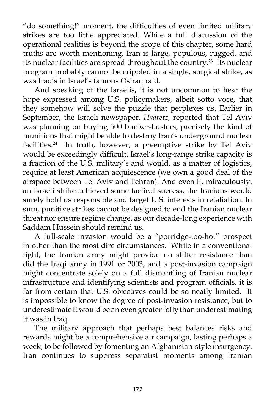"do something!" moment, the difficulties of even limited military strikes are too little appreciated. While a full discussion of the operational realities is beyond the scope of this chapter, some hard truths are worth mentioning. Iran is large, populous, rugged, and its nuclear facilities are spread throughout the country.<sup>23</sup> Its nuclear program probably cannot be crippled in a single, surgical strike, as was Iraq's in Israel's famous Osiraq raid.

 And speaking of the Israelis, it is not uncommon to hear the hope expressed among U.S. policymakers, albeit sotto voce, that they somehow will solve the puzzle that perplexes us. Earlier in September, the Israeli newspaper, *Haaretz*, reported that Tel Aviv was planning on buying 500 bunker-busters, precisely the kind of munitions that might be able to destroy Iran's underground nuclear facilities.<sup>24</sup> In truth, however, a preemptive strike by Tel Aviv would be exceedingly difficult. Israel's long-range strike capacity is a fraction of the U.S. military's and would, as a matter of logistics, require at least American acquiescence (we own a good deal of the airspace between Tel Aviv and Tehran). And even if, miraculously, an Israeli strike achieved some tactical success, the Iranians would surely hold us responsible and target U.S. interests in retaliation. In sum, punitive strikes cannot be designed to end the Iranian nuclear threat nor ensure regime change, as our decade-long experience with Saddam Hussein should remind us.

 A full-scale invasion would be a "porridge-too-hot" prospect in other than the most dire circumstances. While in a conventional fight, the Iranian army might provide no stiffer resistance than did the Iraqi army in 1991 or 2003, and a post-invasion campaign might concentrate solely on a full dismantling of Iranian nuclear infrastructure and identifying scientists and program officials, it is far from certain that U.S. objectives could be so neatly limited. It is impossible to know the degree of post-invasion resistance, but to underestimate it would be an even greater folly than underestimating it was in Iraq.

 The military approach that perhaps best balances risks and rewards might be a comprehensive air campaign, lasting perhaps a week, to be followed by fomenting an Afghanistan-style insurgency. Iran continues to suppress separatist moments among Iranian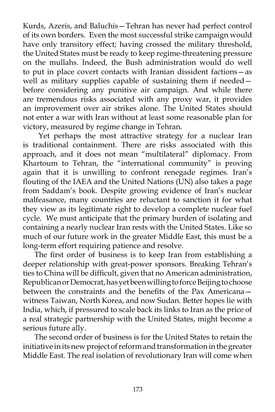Kurds, Azeris, and Baluchis—Tehran has never had perfect control of its own borders. Even the most successful strike campaign would have only transitory effect; having crossed the military threshold, the United States must be ready to keep regime-threatening pressure on the mullahs. Indeed, the Bush administration would do well to put in place covert contacts with Iranian dissident factions—as well as military supplies capable of sustaining them if needed before considering any punitive air campaign. And while there are tremendous risks associated with any proxy war, it provides an improvement over air strikes alone. The United States should not enter a war with Iran without at least some reasonable plan for victory, measured by regime change in Tehran.

 Yet perhaps the most attractive strategy for a nuclear Iran is traditional containment. There are risks associated with this approach, and it does not mean "multilateral" diplomacy. From Khartoum to Tehran, the "international community" is proving again that it is unwilling to confront renegade regimes. Iran's flouting of the IAEA and the United Nations (UN) also takes a page from Saddam's book. Despite growing evidence of Iran's nuclear malfeasance, many countries are reluctant to sanction it for what they view as its legitimate right to develop a complete nuclear fuel cycle. We must anticipate that the primary burden of isolating and containing a nearly nuclear Iran rests with the United States. Like so much of our future work in the greater Middle East, this must be a long-term effort requiring patience and resolve.

 The first order of business is to keep Iran from establishing a deeper relationship with great-power sponsors. Breaking Tehran's ties to China will be difficult, given that no American administration, Republican or Democrat, has yet been willing to force Beijing to choose between the constraints and the benefits of the Pax Americana witness Taiwan, North Korea, and now Sudan. Better hopes lie with India, which, if pressured to scale back its links to Iran as the price of a real strategic partnership with the United States, might become a serious future ally.

 The second order of business is for the United States to retain the initiative in its new project of reform and transformation in the greater Middle East. The real isolation of revolutionary Iran will come when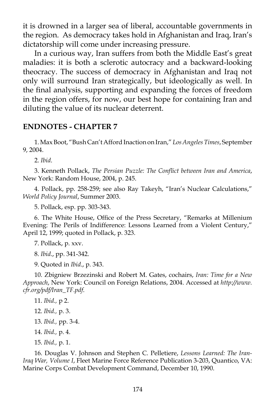it is drowned in a larger sea of liberal, accountable governments in the region. As democracy takes hold in Afghanistan and Iraq, Iran's dictatorship will come under increasing pressure.

 In a curious way, Iran suffers from both the Middle East's great maladies: it is both a sclerotic autocracy and a backward-looking theocracy. The success of democracy in Afghanistan and Iraq not only will surround Iran strategically, but ideologically as well. In the final analysis, supporting and expanding the forces of freedom in the region offers, for now, our best hope for containing Iran and diluting the value of its nuclear deterrent.

#### **ENDNOTES - CHAPTER 7**

 1. Max Boot, "Bush Can't Afford Inaction on Iran," *Los Angeles Times*, September 9, 2004.

2. *Ibid*.

 3. Kenneth Pollack, *The Persian Puzzle: The Conflict between Iran and America*, New York: Random House, 2004, p. 245.

 4. Pollack, pp. 258-259; see also Ray Takeyh, "Iran's Nuclear Calculations," *World Policy Journal*, Summer 2003.

5. Pollack, esp. pp. 303-343.

 6. The White House, Office of the Press Secretary, "Remarks at Millenium Evening: The Perils of Indifference: Lessons Learned from a Violent Century," April 12, 1999; quoted in Pollack, p. 323.

7. Pollack, p. xxv.

8. *Ibid*., pp. 341-342.

9. Quoted in *Ibid*., p. 343.

 10. Zbigniew Brzezinski and Robert M. Gates, cochairs, *Iran: Time for a New Approach*, New York: Council on Foreign Relations, 2004. Accessed at *http://www. cfr.org/pdf/Iran\_TF.pdf*.

- 12. *Ibid.,* p. 3.
- 13. *Ibid.,* pp. 3-4.
- 14. *Ibid.,* p. 4.
- 15. *Ibid.,* p. 1.

 16. Douglas V. Johnson and Stephen C. Pelletiere, *Lessons Learned: The Iran-Iraq War, Volume I*, Fleet Marine Force Reference Publication 3-203, Quantico, VA: Marine Corps Combat Development Command, December 10, 1990.

 <sup>11.</sup> *Ibid.,* p 2.